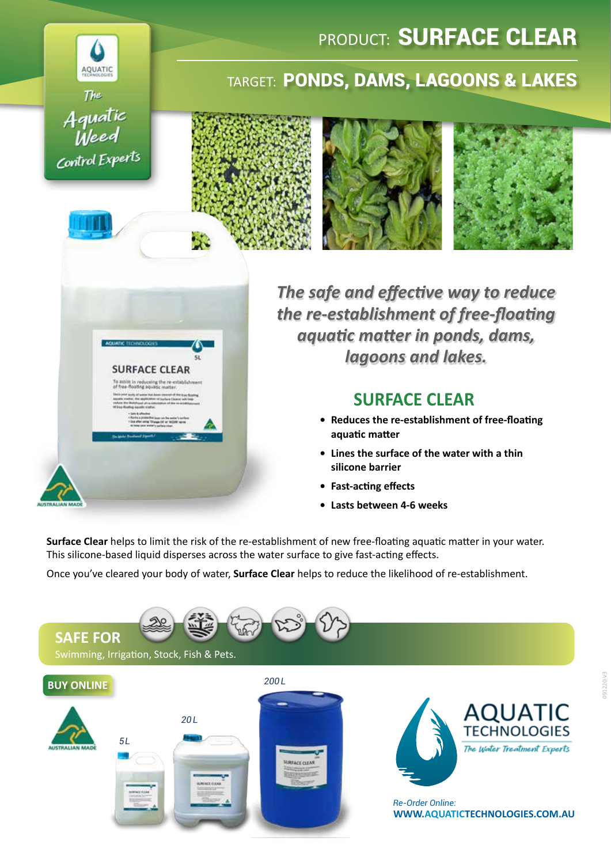# AQUATIC The Aquatic<br>Weed Control Experts

**SURFACE CLEAR** 

## PRODUCT: **SURFACE CLEAR**

### TARGET: PONDS, DAMS, LAGOONS & LAKES



*The safe and effective way to reduce the re-establishment of free-floating aquatic matter in ponds, dams, lagoons and lakes.*

### **SURFACE CLEAR**

- **• Reduces the re-establishment of free-floating aquatic matter**
- **• Lines the surface of the water with a thin silicone barrier**
- **• Fast-acting effects**
- **• Lasts between 4-6 weeks**

**Surface Clear** helps to limit the risk of the re-establishment of new free-floating aquatic matter in your water. This silicone-based liquid disperses across the water surface to give fast-acting effects.

Once you've cleared your body of water, **Surface Clear** helps to reduce the likelihood of re-establishment.